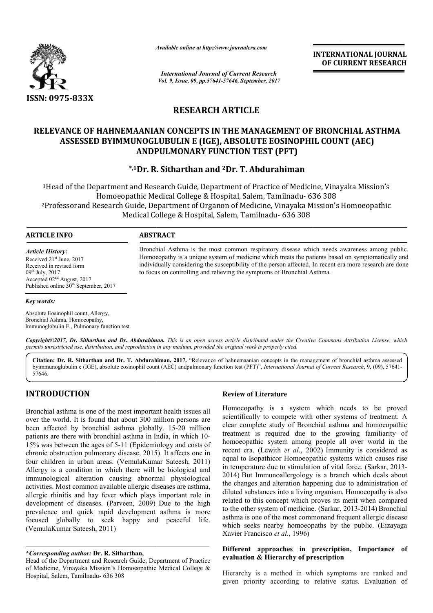

*Available online at http://www.journalcra.com*

*International Journal of Current Research Vol. 9, Issue, 09, pp.57641-57646, September, 2017* **INTERNATIONAL JOURNAL OF CURRENT RESEARCH**

# **RESEARCH ARTICLE**

# RELEVANCE OF HAHNEMAANIAN CONCEPTS IN THE MANAGEMENT OF BRONCHIAL ASTHMA **ASSESSED BYIMMUNOGLUBULIN E (IGE), ABSOLUTE EOSINOPHIL COUNT (AEC) ANDPULMONARY FUNCTION TEST (PFT)**

**\*,1Dr. R. Sitharthan and 2Dr. T. Abdurahiman**

<sup>1</sup>Head of the Department and Research Guide, Department of Practice of Medicine, Vinayaka Mission's Homoeopathic Medical College & Hospital, Salem, Tamilnadu Tamilnadu- 636 308 636 3082Professorand Research Guide, Department of Organon of Medicine, Vinayaka Mission's Homoeopathic Medical College & Hospital, Salem, Tamilnadu- 636 308

### **ARTICLE INFO ABSTRACT**

*Article History:* Received 21st June, 2017 Received in revised form 09th July, 2017 Accepted 02nd August, 2017 Published online  $30<sup>th</sup>$  September, 2017

Bronchial Asthma is the most common respiratory disease which needs awareness among public. Homoeopathy is a unique system of medicine which treats the patients based on symptomatically and individually considering the susceptibility of the person affected. In recent era more research are done individually considering the susceptibility of the person affected. In recent to focus on controlling and relieving the symptoms of Bronchial Asthma.

# *Key words:*

Absolute Eosinophil count, Allergy, Bronchial Ashma, Homoeopathy, Immunoglobulin E., Pulmonary function test.

Copyright©2017, Dr. Sitharthan and Dr. Abdurahiman. This is an open access article distributed under the Creative Commons Attribution License, which permits unrestricted use, distribution, and reproduction in any medium, provided the original work is properly cited.

Citation: Dr. R. Sitharthan and Dr. T. Abdurahiman, 2017. "Relevance of hahnemaanian concepts in the management of bronchial asthma assessed byimmunoglubulin e (IGE), absolute eosinophil count (AEC) andpulmonary function test (PFT)", *International Journal of Current Research*, 9, (09), 57641-57646.

# **INTRODUCTION**

Bronchial asthma is one of the most important health issues all over the world. It is found that about 300 million persons are been affected by bronchial asthma globally. 15 15-20 million patients are there with bronchial asthma in India, in which 10 10- 15% was between the ages of 5-11 (Epidemiology and costs of 15% was between the ages of 5-11 (Epidemiology and costs of chronic obstruction pulmonary disease, 2015). It affects one in four children in urban areas. (VemulaKumar Sateesh, 2011) Allergy is a condition in which there will be biological and immunological alteration causing abnormal physiological activities. Most common available allergic diseases are asthma, allergic rhinitis and hay fever which plays important role in activities. Most common available allergic diseases are asthma, allergic rhinitis and hay fever which plays important role in development of diseases. (Parveen, 2009) Due to the high prevalence and quick rapid development asthma is more focused globally to seek happy and peaceful life. (VemulaKumar Sateesh, 2011)

#### **\****Corresponding author:* **Dr. R. Sitharthan,**

#### **Review of Literature**

Homoeopathy is a system which needs to be proved scientifically to compete with other systems of treatment. A clear complete study of Bronchial asthma and homoeopathic treatment is required due to the growing familiarity of homoeopathic system among people all over world in the recent era. (Lewith *et al*., 2002) Immunity is considered as equal to Isopathicor Homoeopathic systems which causes rise in temperature due to stimulation of vital force. (Sarkar, 2013-2014) But Immunoallergology But Immunoallergology is a branch which deals about the changes and alteration happening due to administration of diluted substances into a living organism. Homoeopathy is also related to this concept which proves its merit when compared to the other system of medicine. (Sarkar, 2013-2014) Bronchial asthma is one of the most commonand frequent allergic disease which seeks nearby homoeopaths by the public. (Eizayaga Xavier Francisco *et al*., 1996) is a system which needs to be proved<br>the systems of treatment. A study of Bronchial asthma and homoeopathic<br>equired due to the growing familiarity of<br>system among people all over world in the e changes and alteration happening due to administration of uted substances into a living organism. Homoeopathy is also ated to this concept which proves its merit when compared the other system of medicine. (Sarkar, 2013-

#### **Different approaches in prescription, Importance of Different approaches in prescription**<br> **evaluation & Hierarchy of prescription**

Hierarchy is a method in which symptoms are ranked and Hierarchy is a method in which symptoms are ranked and given priority according to relative status. Evaluation of

Head of the Department and Research Guide, Department of Practice of Medicine, Vinayaka Mission's Homoeopathic Medical College & Hospital, Salem, Tamilnadu- 636 308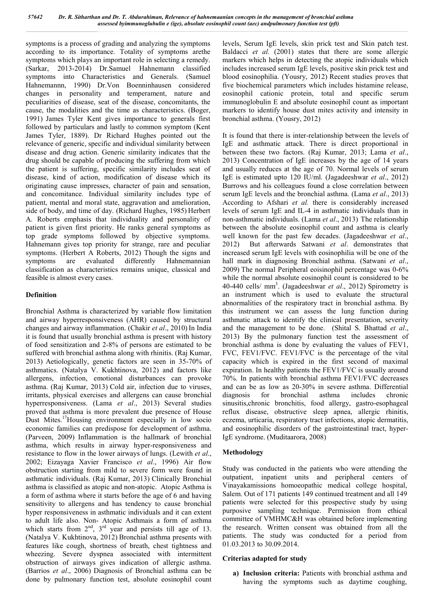symptoms is a process of grading and analyzing the symptoms according to its importance. Totality of symptoms arethe symptoms which plays an important role in selecting a remedy. (Sarkar, 2013-2014) Dr.Samuel Hahnemann classified symptoms into Characteristics and Generals. (Samuel Hahnemannn, 1990) Dr.Von Boenninhausen considered changes in personality and temperament, nature and peculiarities of disease, seat of the disease, concomitants, the cause, the modalities and the time as characteristics. (Boger, 1991) James Tyler Kent gives importance to generals first followed by particulars and lastly to common symptom (Kent James Tyler, 1889). Dr Richard Hughes pointed out the relevance of generic, specific and individual similarity between disease and drug action. Generic similarity indicates that the drug should be capable of producing the suffering from which the patient is suffering, specific similarity includes seat of disease, kind of action, modification of disease which its originating cause impresses, character of pain and sensation, and concomitance. Individual similarity includes type of patient, mental and moral state, aggravation and amelioration, side of body, and time of day. (Richard Hughes, 1985) Herbert A. Roberts emphasis that individuality and personality of patient is given first priority. He ranks general symptoms as top grade symptoms followed by objective symptoms. Hahnemann gives top priority for strange, rare and peculiar symptoms. (Herbert A Roberts, 2012) Though the signs and symptoms are evaluated differently Hahnemannian classification as characteristics remains unique, classical and feasible is almost every cases.

### **Definition**

Bronchial Asthma is characterized by variable flow limitation and airway hyperresponsiveness (AHR) caused by structural changes and airway inflammation. (Chakir *et al*., 2010) In India it is found that usually bronchial asthma is present with history of food sensitization and 2-8% of persons are estimated to be suffered with bronchial asthma along with rhinitis. (Raj Kumar, 2013) Aetiologically, genetic factors are seen in 35-70% of asthmatics. (Natalya V. Kukhtinova, 2012) and factors like allergens, infection, emotional disturbances can provoke asthma. (Raj Kumar, 2013) Cold air, infection due to viruses, irritants, physical exercises and allergens can cause bronchial hyperresponsiveness. (Lama *et al*., 2013) Several studies proved that asthma is more prevalent due presence of House Dust Mites.17Housing environment especially in low socio economic families can predispose for development of asthma. (Parveen, 2009) Inflammation is the hallmark of bronchial asthma, which results in airway hyper-responsiveness and resistance to flow in the lower airways of lungs. (Lewith *et al*., 2002; Eizayaga Xavier Francisco *et al*., 1996) Air flow obstruction starting from mild to severe form were found in asthmatic individuals. (Raj Kumar, 2013) Clinically Bronchial asthma is classified as atopic and non-atopic. Atopic Asthma is a form of asthma where it starts before the age of 6 and having sensitivity to allergens and has tendency to cause bronchial hyper responsiveness in asthmatic individuals and it can extent to adult life also. Non- Atopic Asthmais a form of asthma which starts from  $2<sup>nd</sup>$ ,  $3<sup>rd</sup>$  year and persists till age of 13. (Natalya V. Kukhtinova, 2012) Bronchial asthma presents with features like cough, shortness of breath, chest tightness and wheezing. Severe dyspnea associated with intermittent obstruction of airways gives indication of allergic asthma. (Barrios *et al*., 2006) Diagnosis of Bronchial asthma can be done by pulmonary function test, absolute eosinophil count

levels, Serum IgE levels, skin prick test and Skin patch test. Baldacci *et al.* (2001) states that there are some allergic markers which helps in detecting the atopic individuals which includes increased serum IgE levels, positive skin prick test and blood eosinophilia. (Yousry, 2012) Recent studies proves that five biochemical parameters which includes histamine release, eosinophil cationic protein, total and specific serum immunoglobulin E and absolute eosinophil count as important markers to identify house dust mites activity and intensity in bronchial asthma. (Yousry, 2012)

It is found that there is inter-relationship between the levels of IgE and asthmatic attack. There is direct proportional in between these two factors. (Raj Kumar, 2013; Lama *et al*., 2013) Concentration of IgE increases by the age of 14 years and usually reduces at the age of 70. Normal levels of serum IgE is estimated upto 120 IU/ml. (Jagadeeshwar *et al*., 2012) Burrows and his colleagues found a close correlation between serum IgE levels and the bronchial asthma. (Lama *et al*., 2013) According to Afshari *et al.* there is considerably increased levels of serum IgE and IL-4 in asthmatic individuals than in non-asthmatic individuals. (Lama *et al*., 2013) The relationship between the absolute eosinophil count and asthma is clearly well known for the past few decades. (Jagadeeshwar *et al*., 2012) But afterwards Satwani *et al*. demonstrates that increased serum IgE levels with eosinophilia will be one of the hall mark in diagnosing Bronchial asthma. (Satwani *et al*., 2009) The normal Peripheral eoisinophil percentage was 0-6% while the normal absolute eosinophil count is considered to be 40-440 cells/ mm3 . (Jagadeeshwar *et al*., 2012) Spirometry is an instrument which is used to evaluate the structural abnormalities of the respiratory tract in bronchial asthma. By this instrument we can assess the lung function during asthmatic attack to identify the clinical presentation, severity and the management to be done. (Shital S. Bhattad *et al*., 2013) By the pulmonary function test the assessment of bronchial asthma is done by evaluating the values of FEV1, FVC, FEV1/FVC. FEV1/FVC is the percentage of the vital capacity which is expired in the first second of maximal expiration. In healthy patients the FEV1/FVC is usually around 70%. In patients with bronchial asthma FEV1/FVC decreases and can be as low as 20-30% in severe asthma. Differential diagnosis for bronchial asthma includes chronic sinusitis,chronic bronchitis, food allergy, gastro-esophageal reflux disease, obstructive sleep apnea, allergic rhinitis, eczema, urticaria, respiratory tract infections, atopic dermatitis, and eosinophilic disorders of the gastrointestinal tract, hyper-IgE syndrome. (Muditaarora, 2008)

## **Methodology**

Study was conducted in the patients who were attending the outpatient, inpatient units and peripheral centers of Vinayakamissions homoeopathic medical college hospital, Salem. Out of 171 patients 149 continued treatment and all 149 patients were selected for this prospective study by using purposive sampling technique. Permission from ethical committee of VMHMC&H was obtained before implementing the research. Written consent was obtained from all the patients. The study was conducted for a period from 01.03.2013 to 30.09.2014.

#### **Criterias adapted for study**

**a) Inclusion criteria:** Patients with bronchial asthma and having the symptoms such as daytime coughing,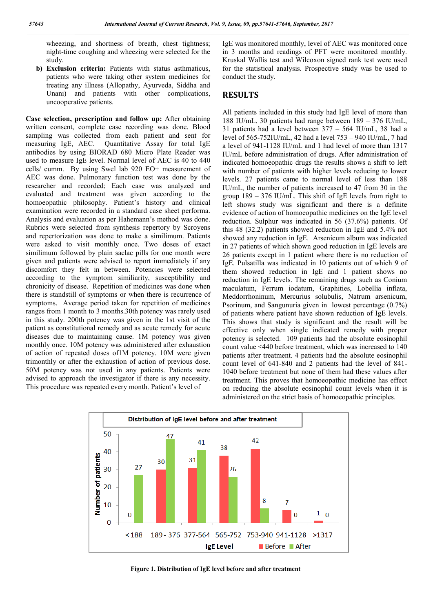wheezing, and shortness of breath, chest tightness; night-time coughing and wheezing were selected for the study.

**b) Exclusion criteria:** Patients with status asthmaticus, patients who were taking other system medicines for treating any illness (Allopathy, Ayurveda, Siddha and Unani) and patients with other complications, uncooperative patients.

**Case selection, prescription and follow up:** After obtaining written consent, complete case recording was done. Blood sampling was collected from each patient and sent for measuring IgE, AEC. Quantitative Assay for total IgE antibodies by using BIORAD 680 Micro Plate Reader was used to measure IgE level. Normal level of AEC is 40 to 440 cells/ cumm. By using Swel lab 920 EO+ measurement of AEC was done. Pulmonary function test was done by the researcher and recorded; Each case was analyzed and evaluated and treatment was given according to the homoeopathic philosophy. Patient's history and clinical examination were recorded in a standard case sheet performa. Analysis and evaluation as per Hahemann's method was done. Rubrics were selected from synthesis repertory by Scroyens and repertorization was done to make a similimum. Patients were asked to visit monthly once. Two doses of exact similimum followed by plain saclac pills for one month were given and patients were advised to report immediately if any discomfort they felt in between. Potencies were selected according to the symptom similiarity, susceptibility and chronicity of disease. Repetition of medicines was done when there is standstill of symptoms or when there is recurrence of symptoms. Average period taken for repetition of medicines ranges from 1 month to 3 months.30th potency was rarely used in this study. 200th potency was given in the 1st visit of the patient as constitutional remedy and as acute remedy for acute diseases due to maintaining cause. 1M potency was given monthly once. 10M potency was administered after exhaustion of action of repeated doses of1M potency. 10M were given trimonthly or after the exhaustion of action of previous dose. 50M potency was not used in any patients. Patients were advised to approach the investigator if there is any necessity. This procedure was repeated every month. Patient's level of

IgE was monitored monthly, level of AEC was monitored once in 3 months and readings of PFT were monitored monthly. Kruskal Wallis test and Wilcoxon signed rank test were used for the statistical analysis. Prospective study was be used to conduct the study.

## **RESULTS**

All patients included in this study had IgE level of more than 188 IU/mL. 30 patients had range between 189 – 376 IU/mL, 31 patients had a level between 377 – 564 IU/mL, 38 had a level of 565-752IU/mL, 42 had a level 753 – 940 IU/mL, 7 had a level of 941-1128 IU/mL and 1 had level of more than 1317 IU/mL before administration of drugs. After administration of indicated homoeopathic drugs the results shows a shift to left with number of patients with higher levels reducing to lower levels. 27 patients came to normal level of less than 188 IU/mL, the number of patients increased to 47 from 30 in the group 189 – 376 IU/mL. This shift of IgE levels from right to left shows study was significant and there is a definite evidence of action of homoeopathic medicines on the IgE level reduction. Sulphur was indicated in 56 (37.6%) patients. Of this 48 (32.2) patients showed reduction in IgE and 5.4% not showed any reduction in IgE. Arsenicum album was indicated in 27 patients of which shown good reduction in IgE levels are 26 patients except in 1 patient where there is no reduction of IgE. Pulsatilla was indicated in 10 patients out of which 9 of them showed reduction in IgE and 1 patient shows no reduction in IgE levels. The remaining drugs such as Conium maculatum, Ferrum iodatum, Graphities, Lobellia inflata, Meddorrhoninum, Mercurius solubulis, Natrum arsenicum, Psorinum, and Sangunuria given in lowest percentage (0.7%) of patients where patient have shown reduction of IgE levels. This shows that study is significant and the result will be effective only when single indicated remedy with proper potency is selected. 109 patients had the absolute eosinophil count value <440 before treatment, which was increased to 140 patients after treatment. 4 patients had the absolute eosinophil count level of 641-840 and 2 patients had the level of 841- 1040 before treatment but none of them had these values after treatment. This proves that homoeopathic medicine has effect on reducing the absolute eosinophil count levels when it is administered on the strict basis of homoeopathic principles.



**Figure 1. Distribution of IgE level before and after treatment**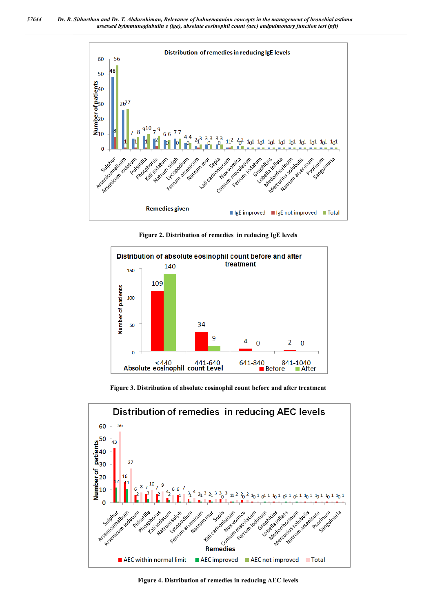



**Figure 2. Distribution of remedies in reducing IgE levels**



**Figure 3. Distribution of absolute eosinophil count before and after treatment**



**Figure 4. Distribution of remedies in reducing AEC levels**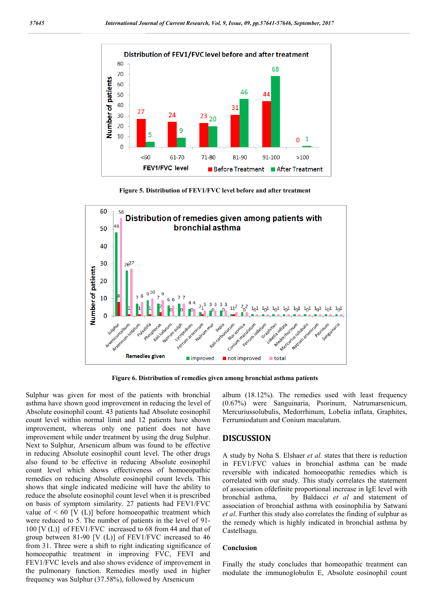

**Figure 5. Distribution of FEV1/FVC level before and after treatment**



**Figure 6. Distribution of remedies given among bronchial asthma patients**

Sulphur was given for most of the patients with bronchial asthma have shown good improvement in reducing the level of Absolute eosinophil count. 43 patients had Absolute eosinophil count level within normal limit and 12 patients have shown improvement, whereas only one patient does not have improvement while under treatment by using the drug Sulphur. Next to Sulphur, Arsenicum album was found to be effective in reducing Absolute eosinophil count level. The other drugs also found to be effective in reducing Absolute eosinophil count level which shows effectiveness of homoeopathic remedies on reducing Absolute eosinophil count levels. This shows that single indicated medicine will have the ability to reduce the absolute eosinophil count level when it is prescribed on basis of symptom similarity. 27 patients had FEV1/FVC value of  $\leq 60$  [V (L)] before homoeopathic treatment which were reduced to 5. The number of patients in the level of 91- 100 [V (L)] of FEV1/FVC increased to 68 from 44 and that of group between 81-90 [V (L)] of FEV1/FVC increased to 46 from 31. Three were a shift to right indicating significance of homoeopathic treatment in improving FVC, FEVI and FEV1/FVC levels and also shows evidence of improvement in the pulmonary function. Remedies mostly used in higher frequency was Sulphur (37.58%), followed by Arsenicum

album (18.12%). The remedies used with least frequency (0.67%) were Sanguinaria, Psorinum, Natrumarsenicum, Mercuriussolubulis, Medorrhinum, Lobelia inflata, Graphites, Ferrumiodatum and Conium maculatum.

### **DISCUSSION**

A study by Noha S. Elshaer *et al.* states that there is reduction in FEV1/FVC values in bronchial asthma can be made reversible with indicated homoeopathic remedies which is correlated with our study. This study correlates the statement of association ofdefinite proportional increase in IgE level with bronchial asthma, by Baldacci *et al* and statement of association of bronchial asthma with eosinophilia by Satwani *et al*. Further this study also correlates the finding of sulphur as the remedy which is highly indicated in bronchial asthma by Castellsagu.

#### **Conclusion**

Finally the study concludes that homeopathic treatment can modulate the immunoglobulin E, Absolute eosinophil count